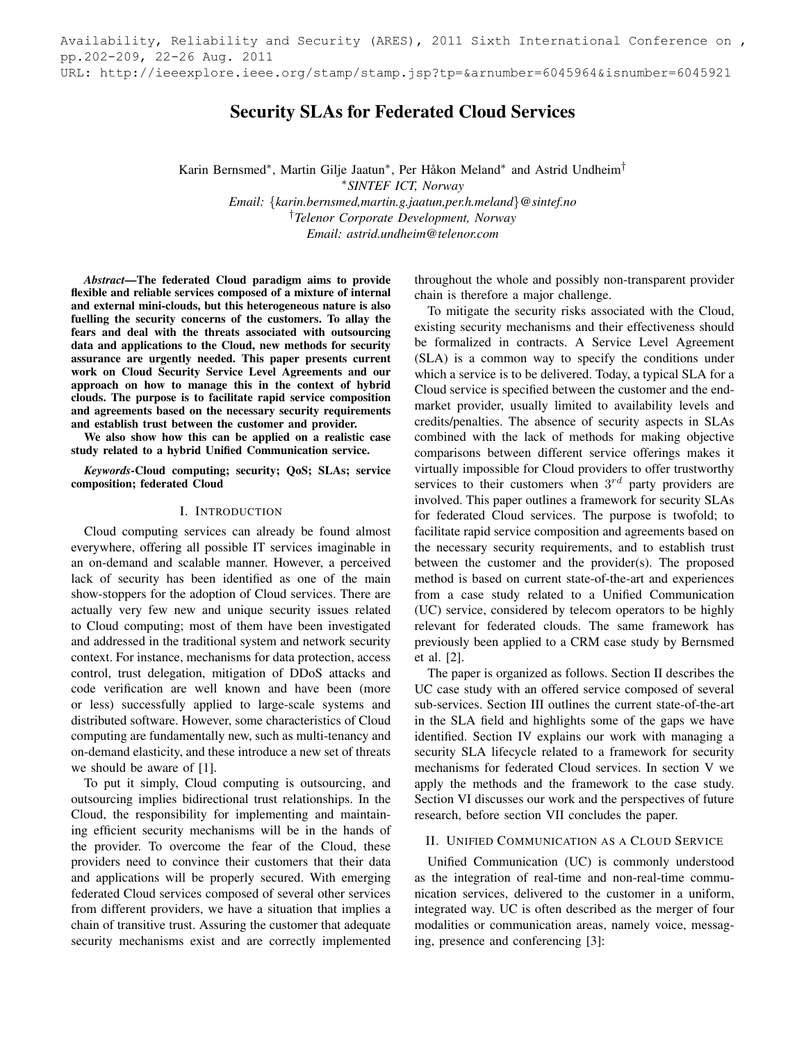# Security SLAs for Federated Cloud Services

Karin Bernsmed\*, Martin Gilje Jaatun\*, Per Håkon Meland\* and Astrid Undheim<sup>†</sup> <sup>∗</sup>*SINTEF ICT, Norway Email:* {*karin.bernsmed,martin.g.jaatun,per.h.meland*}*@sintef.no* †*Telenor Corporate Development, Norway Email: astrid.undheim@telenor.com*

*Abstract*—The federated Cloud paradigm aims to provide flexible and reliable services composed of a mixture of internal and external mini-clouds, but this heterogeneous nature is also fuelling the security concerns of the customers. To allay the fears and deal with the threats associated with outsourcing data and applications to the Cloud, new methods for security assurance are urgently needed. This paper presents current work on Cloud Security Service Level Agreements and our approach on how to manage this in the context of hybrid clouds. The purpose is to facilitate rapid service composition and agreements based on the necessary security requirements and establish trust between the customer and provider.

We also show how this can be applied on a realistic case study related to a hybrid Unified Communication service.

*Keywords*-Cloud computing; security; QoS; SLAs; service composition; federated Cloud

#### I. INTRODUCTION

Cloud computing services can already be found almost everywhere, offering all possible IT services imaginable in an on-demand and scalable manner. However, a perceived lack of security has been identified as one of the main show-stoppers for the adoption of Cloud services. There are actually very few new and unique security issues related to Cloud computing; most of them have been investigated and addressed in the traditional system and network security context. For instance, mechanisms for data protection, access control, trust delegation, mitigation of DDoS attacks and code verification are well known and have been (more or less) successfully applied to large-scale systems and distributed software. However, some characteristics of Cloud computing are fundamentally new, such as multi-tenancy and on-demand elasticity, and these introduce a new set of threats we should be aware of [1].

To put it simply, Cloud computing is outsourcing, and outsourcing implies bidirectional trust relationships. In the Cloud, the responsibility for implementing and maintaining efficient security mechanisms will be in the hands of the provider. To overcome the fear of the Cloud, these providers need to convince their customers that their data and applications will be properly secured. With emerging federated Cloud services composed of several other services from different providers, we have a situation that implies a chain of transitive trust. Assuring the customer that adequate security mechanisms exist and are correctly implemented throughout the whole and possibly non-transparent provider chain is therefore a major challenge.

To mitigate the security risks associated with the Cloud, existing security mechanisms and their effectiveness should be formalized in contracts. A Service Level Agreement (SLA) is a common way to specify the conditions under which a service is to be delivered. Today, a typical SLA for a Cloud service is specified between the customer and the endmarket provider, usually limited to availability levels and credits/penalties. The absence of security aspects in SLAs combined with the lack of methods for making objective comparisons between different service offerings makes it virtually impossible for Cloud providers to offer trustworthy services to their customers when  $3^{rd}$  party providers are involved. This paper outlines a framework for security SLAs for federated Cloud services. The purpose is twofold; to facilitate rapid service composition and agreements based on the necessary security requirements, and to establish trust between the customer and the provider(s). The proposed method is based on current state-of-the-art and experiences from a case study related to a Unified Communication (UC) service, considered by telecom operators to be highly relevant for federated clouds. The same framework has previously been applied to a CRM case study by Bernsmed et al. [2].

The paper is organized as follows. Section II describes the UC case study with an offered service composed of several sub-services. Section III outlines the current state-of-the-art in the SLA field and highlights some of the gaps we have identified. Section IV explains our work with managing a security SLA lifecycle related to a framework for security mechanisms for federated Cloud services. In section V we apply the methods and the framework to the case study. Section VI discusses our work and the perspectives of future research, before section VII concludes the paper.

# II. UNIFIED COMMUNICATION AS A CLOUD SERVICE

Unified Communication (UC) is commonly understood as the integration of real-time and non-real-time communication services, delivered to the customer in a uniform, integrated way. UC is often described as the merger of four modalities or communication areas, namely voice, messaging, presence and conferencing [3]: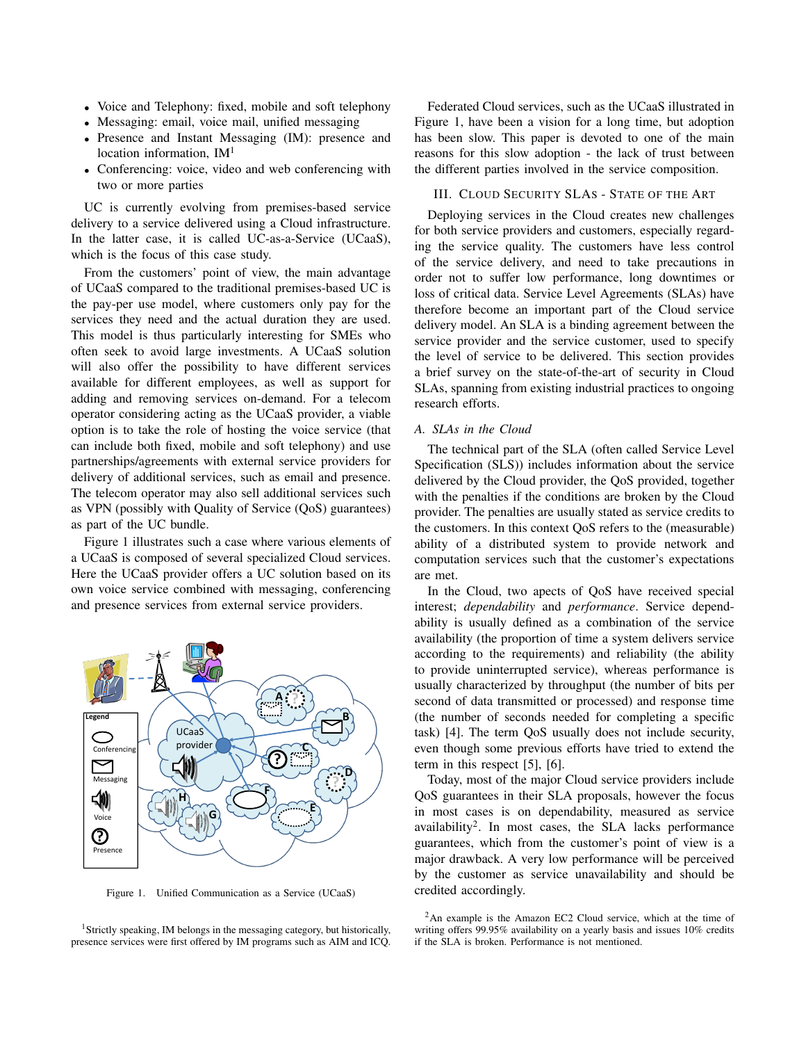- Voice and Telephony: fixed, mobile and soft telephony
- Messaging: email, voice mail, unified messaging
- Presence and Instant Messaging (IM): presence and location information,  $IM<sup>1</sup>$
- Conferencing: voice, video and web conferencing with two or more parties

UC is currently evolving from premises-based service delivery to a service delivered using a Cloud infrastructure. In the latter case, it is called UC-as-a-Service (UCaaS), which is the focus of this case study.

From the customers' point of view, the main advantage of UCaaS compared to the traditional premises-based UC is the pay-per use model, where customers only pay for the services they need and the actual duration they are used. This model is thus particularly interesting for SMEs who often seek to avoid large investments. A UCaaS solution will also offer the possibility to have different services available for different employees, as well as support for adding and removing services on-demand. For a telecom operator considering acting as the UCaaS provider, a viable option is to take the role of hosting the voice service (that can include both fixed, mobile and soft telephony) and use partnerships/agreements with external service providers for delivery of additional services, such as email and presence. The telecom operator may also sell additional services such as VPN (possibly with Quality of Service (QoS) guarantees) as part of the UC bundle.

Figure 1 illustrates such a case where various elements of a UCaaS is composed of several specialized Cloud services. Here the UCaaS provider offers a UC solution based on its own voice service combined with messaging, conferencing and presence services from external service providers.



Figure 1. Unified Communication as a Service (UCaaS)

<sup>1</sup>Strictly speaking, IM belongs in the messaging category, but historically, presence services were first offered by IM programs such as AIM and ICQ.

Federated Cloud services, such as the UCaaS illustrated in Figure 1, have been a vision for a long time, but adoption has been slow. This paper is devoted to one of the main reasons for this slow adoption - the lack of trust between the different parties involved in the service composition.

## III. CLOUD SECURITY SLAS - STATE OF THE ART

Deploying services in the Cloud creates new challenges for both service providers and customers, especially regarding the service quality. The customers have less control of the service delivery, and need to take precautions in order not to suffer low performance, long downtimes or loss of critical data. Service Level Agreements (SLAs) have therefore become an important part of the Cloud service delivery model. An SLA is a binding agreement between the service provider and the service customer, used to specify the level of service to be delivered. This section provides a brief survey on the state-of-the-art of security in Cloud SLAs, spanning from existing industrial practices to ongoing research efforts.

# *A. SLAs in the Cloud*

The technical part of the SLA (often called Service Level Specification (SLS)) includes information about the service delivered by the Cloud provider, the QoS provided, together with the penalties if the conditions are broken by the Cloud provider. The penalties are usually stated as service credits to the customers. In this context QoS refers to the (measurable) ability of a distributed system to provide network and computation services such that the customer's expectations are met.

In the Cloud, two apects of QoS have received special interest; *dependability* and *performance*. Service dependability is usually defined as a combination of the service availability (the proportion of time a system delivers service according to the requirements) and reliability (the ability to provide uninterrupted service), whereas performance is usually characterized by throughput (the number of bits per second of data transmitted or processed) and response time (the number of seconds needed for completing a specific task) [4]. The term QoS usually does not include security, even though some previous efforts have tried to extend the term in this respect [5], [6].

Today, most of the major Cloud service providers include QoS guarantees in their SLA proposals, however the focus in most cases is on dependability, measured as service availability<sup>2</sup>. In most cases, the SLA lacks performance guarantees, which from the customer's point of view is a major drawback. A very low performance will be perceived by the customer as service unavailability and should be credited accordingly.

 $2$ An example is the Amazon EC2 Cloud service, which at the time of writing offers 99.95% availability on a yearly basis and issues 10% credits if the SLA is broken. Performance is not mentioned.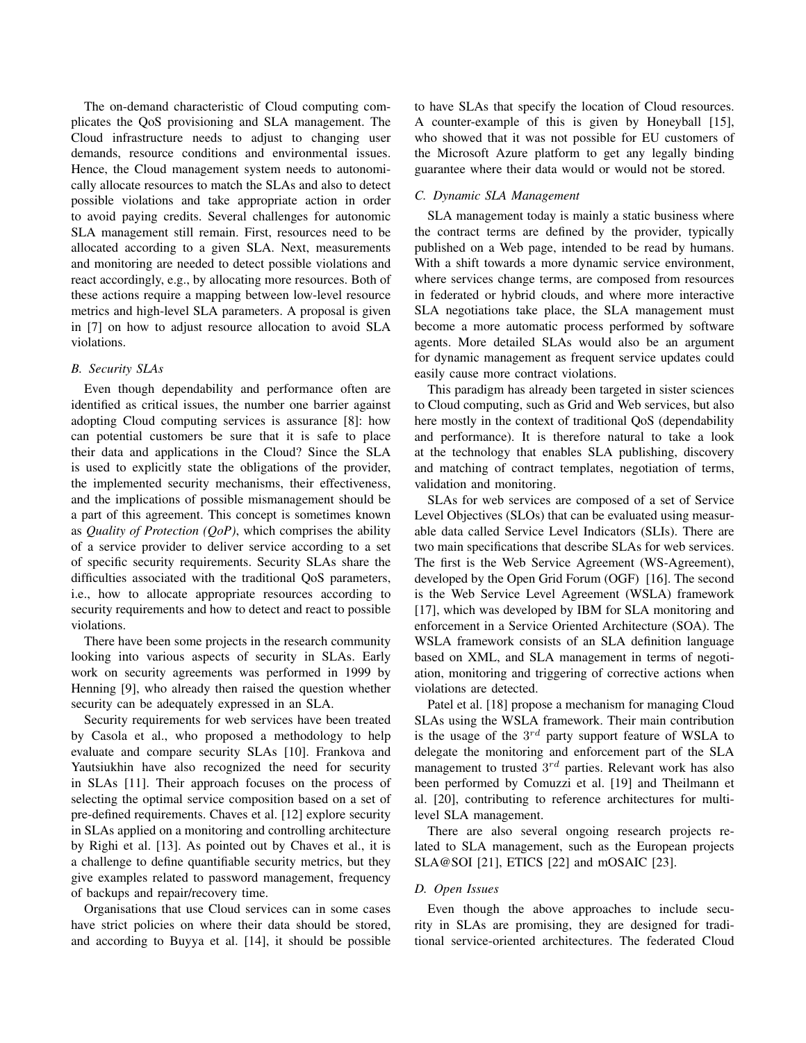The on-demand characteristic of Cloud computing complicates the QoS provisioning and SLA management. The Cloud infrastructure needs to adjust to changing user demands, resource conditions and environmental issues. Hence, the Cloud management system needs to autonomically allocate resources to match the SLAs and also to detect possible violations and take appropriate action in order to avoid paying credits. Several challenges for autonomic SLA management still remain. First, resources need to be allocated according to a given SLA. Next, measurements and monitoring are needed to detect possible violations and react accordingly, e.g., by allocating more resources. Both of these actions require a mapping between low-level resource metrics and high-level SLA parameters. A proposal is given in [7] on how to adjust resource allocation to avoid SLA violations.

# *B. Security SLAs*

Even though dependability and performance often are identified as critical issues, the number one barrier against adopting Cloud computing services is assurance [8]: how can potential customers be sure that it is safe to place their data and applications in the Cloud? Since the SLA is used to explicitly state the obligations of the provider, the implemented security mechanisms, their effectiveness, and the implications of possible mismanagement should be a part of this agreement. This concept is sometimes known as *Quality of Protection (QoP)*, which comprises the ability of a service provider to deliver service according to a set of specific security requirements. Security SLAs share the difficulties associated with the traditional QoS parameters, i.e., how to allocate appropriate resources according to security requirements and how to detect and react to possible violations.

There have been some projects in the research community looking into various aspects of security in SLAs. Early work on security agreements was performed in 1999 by Henning [9], who already then raised the question whether security can be adequately expressed in an SLA.

Security requirements for web services have been treated by Casola et al., who proposed a methodology to help evaluate and compare security SLAs [10]. Frankova and Yautsiukhin have also recognized the need for security in SLAs [11]. Their approach focuses on the process of selecting the optimal service composition based on a set of pre-defined requirements. Chaves et al. [12] explore security in SLAs applied on a monitoring and controlling architecture by Righi et al. [13]. As pointed out by Chaves et al., it is a challenge to define quantifiable security metrics, but they give examples related to password management, frequency of backups and repair/recovery time.

Organisations that use Cloud services can in some cases have strict policies on where their data should be stored, and according to Buyya et al. [14], it should be possible to have SLAs that specify the location of Cloud resources. A counter-example of this is given by Honeyball [15], who showed that it was not possible for EU customers of the Microsoft Azure platform to get any legally binding guarantee where their data would or would not be stored.

# *C. Dynamic SLA Management*

SLA management today is mainly a static business where the contract terms are defined by the provider, typically published on a Web page, intended to be read by humans. With a shift towards a more dynamic service environment, where services change terms, are composed from resources in federated or hybrid clouds, and where more interactive SLA negotiations take place, the SLA management must become a more automatic process performed by software agents. More detailed SLAs would also be an argument for dynamic management as frequent service updates could easily cause more contract violations.

This paradigm has already been targeted in sister sciences to Cloud computing, such as Grid and Web services, but also here mostly in the context of traditional QoS (dependability and performance). It is therefore natural to take a look at the technology that enables SLA publishing, discovery and matching of contract templates, negotiation of terms, validation and monitoring.

SLAs for web services are composed of a set of Service Level Objectives (SLOs) that can be evaluated using measurable data called Service Level Indicators (SLIs). There are two main specifications that describe SLAs for web services. The first is the Web Service Agreement (WS-Agreement), developed by the Open Grid Forum (OGF) [16]. The second is the Web Service Level Agreement (WSLA) framework [17], which was developed by IBM for SLA monitoring and enforcement in a Service Oriented Architecture (SOA). The WSLA framework consists of an SLA definition language based on XML, and SLA management in terms of negotiation, monitoring and triggering of corrective actions when violations are detected.

Patel et al. [18] propose a mechanism for managing Cloud SLAs using the WSLA framework. Their main contribution is the usage of the  $3^{rd}$  party support feature of WSLA to delegate the monitoring and enforcement part of the SLA management to trusted  $3^{rd}$  parties. Relevant work has also been performed by Comuzzi et al. [19] and Theilmann et al. [20], contributing to reference architectures for multilevel SLA management.

There are also several ongoing research projects related to SLA management, such as the European projects SLA@SOI [21], ETICS [22] and mOSAIC [23].

## *D. Open Issues*

Even though the above approaches to include security in SLAs are promising, they are designed for traditional service-oriented architectures. The federated Cloud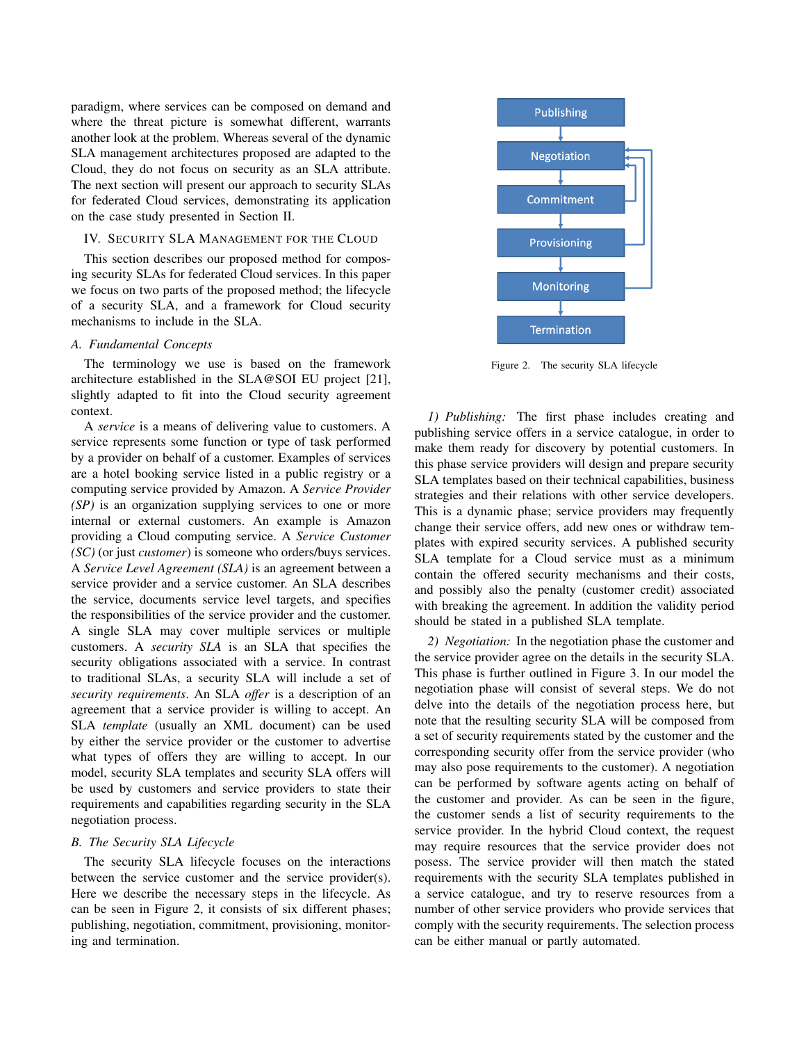paradigm, where services can be composed on demand and where the threat picture is somewhat different, warrants another look at the problem. Whereas several of the dynamic SLA management architectures proposed are adapted to the Cloud, they do not focus on security as an SLA attribute. The next section will present our approach to security SLAs for federated Cloud services, demonstrating its application on the case study presented in Section II.

# IV. SECURITY SLA MANAGEMENT FOR THE CLOUD

This section describes our proposed method for composing security SLAs for federated Cloud services. In this paper we focus on two parts of the proposed method; the lifecycle of a security SLA, and a framework for Cloud security mechanisms to include in the SLA.

# *A. Fundamental Concepts*

The terminology we use is based on the framework architecture established in the SLA@SOI EU project [21], slightly adapted to fit into the Cloud security agreement context.

A *service* is a means of delivering value to customers. A service represents some function or type of task performed by a provider on behalf of a customer. Examples of services are a hotel booking service listed in a public registry or a computing service provided by Amazon. A *Service Provider (SP)* is an organization supplying services to one or more internal or external customers. An example is Amazon providing a Cloud computing service. A *Service Customer (SC)* (or just *customer*) is someone who orders/buys services. A *Service Level Agreement (SLA)* is an agreement between a service provider and a service customer. An SLA describes the service, documents service level targets, and specifies the responsibilities of the service provider and the customer. A single SLA may cover multiple services or multiple customers. A *security SLA* is an SLA that specifies the security obligations associated with a service. In contrast to traditional SLAs, a security SLA will include a set of *security requirements*. An SLA *offer* is a description of an agreement that a service provider is willing to accept. An SLA *template* (usually an XML document) can be used by either the service provider or the customer to advertise what types of offers they are willing to accept. In our model, security SLA templates and security SLA offers will be used by customers and service providers to state their requirements and capabilities regarding security in the SLA negotiation process.

# *B. The Security SLA Lifecycle*

The security SLA lifecycle focuses on the interactions between the service customer and the service provider(s). Here we describe the necessary steps in the lifecycle. As can be seen in Figure 2, it consists of six different phases; publishing, negotiation, commitment, provisioning, monitoring and termination.



Figure 2. The security SLA lifecycle

*1) Publishing:* The first phase includes creating and publishing service offers in a service catalogue, in order to make them ready for discovery by potential customers. In this phase service providers will design and prepare security SLA templates based on their technical capabilities, business strategies and their relations with other service developers. This is a dynamic phase; service providers may frequently change their service offers, add new ones or withdraw templates with expired security services. A published security SLA template for a Cloud service must as a minimum contain the offered security mechanisms and their costs, and possibly also the penalty (customer credit) associated with breaking the agreement. In addition the validity period should be stated in a published SLA template.

*2) Negotiation:* In the negotiation phase the customer and the service provider agree on the details in the security SLA. This phase is further outlined in Figure 3. In our model the negotiation phase will consist of several steps. We do not delve into the details of the negotiation process here, but note that the resulting security SLA will be composed from a set of security requirements stated by the customer and the corresponding security offer from the service provider (who may also pose requirements to the customer). A negotiation can be performed by software agents acting on behalf of the customer and provider. As can be seen in the figure, the customer sends a list of security requirements to the service provider. In the hybrid Cloud context, the request may require resources that the service provider does not posess. The service provider will then match the stated requirements with the security SLA templates published in a service catalogue, and try to reserve resources from a number of other service providers who provide services that comply with the security requirements. The selection process can be either manual or partly automated.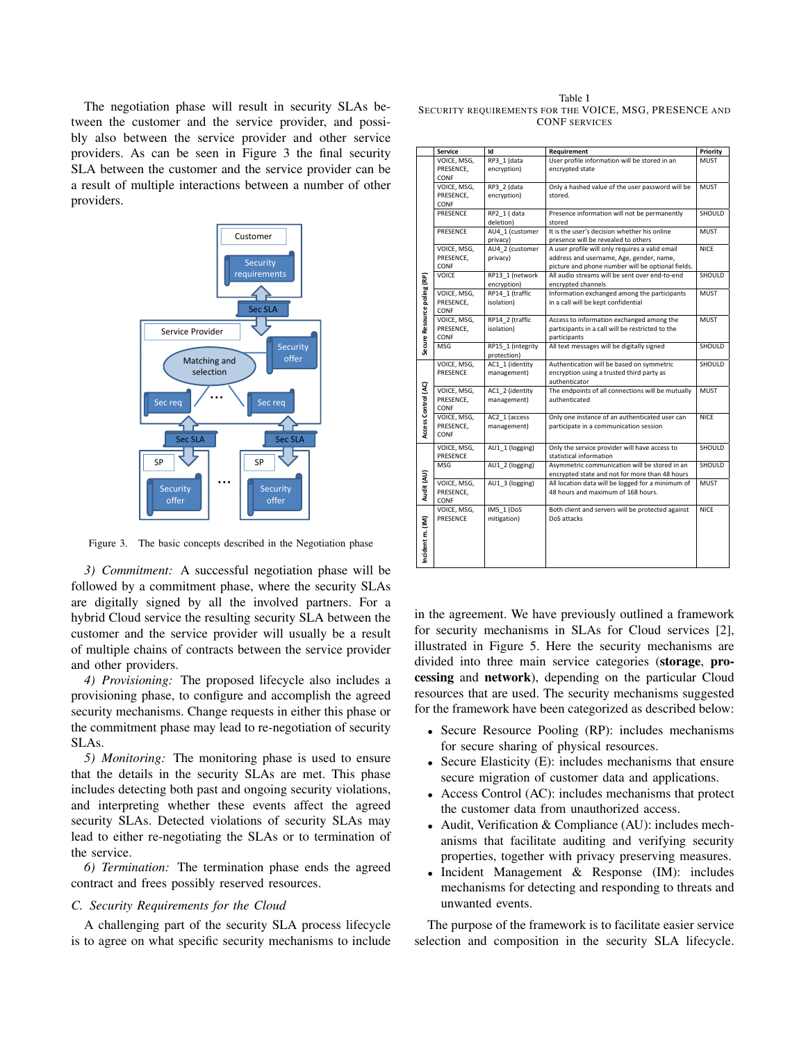The negotiation phase will result in security SLAs between the customer and the service provider, and possibly also between the service provider and other service providers. As can be seen in Figure 3 the final security SLA between the customer and the service provider can be a result of multiple interactions between a number of other providers.



Figure 3. The basic concepts described in the Negotiation phase

*3) Commitment:* A successful negotiation phase will be followed by a commitment phase, where the security SLAs are digitally signed by all the involved partners. For a hybrid Cloud service the resulting security SLA between the customer and the service provider will usually be a result of multiple chains of contracts between the service provider and other providers.

*4) Provisioning:* The proposed lifecycle also includes a provisioning phase, to configure and accomplish the agreed security mechanisms. Change requests in either this phase or the commitment phase may lead to re-negotiation of security SLAs.

*5) Monitoring:* The monitoring phase is used to ensure that the details in the security SLAs are met. This phase includes detecting both past and ongoing security violations, and interpreting whether these events affect the agreed security SLAs. Detected violations of security SLAs may lead to either re-negotiating the SLAs or to termination of the service.

*6) Termination:* The termination phase ends the agreed contract and frees possibly reserved resources.

# *C. Security Requirements for the Cloud*

A challenging part of the security SLA process lifecycle is to agree on what specific security mechanisms to include

Table I SECURITY REQUIREMENTS FOR THE VOICE, MSG, PRESENCE AND CONF SERVICES

|                             | Service             | Id                             | Requirement                                                          | Priority    |
|-----------------------------|---------------------|--------------------------------|----------------------------------------------------------------------|-------------|
| Secure Resource poling (RP) | VOICE, MSG,         | RP3 1 (data                    | User profile information will be stored in an                        | MUST        |
|                             | PRESENCE,           | encryption)                    | encrypted state                                                      |             |
|                             | CONF                |                                |                                                                      |             |
|                             | VOICE, MSG,         | RP3_2 (data                    | Only a hashed value of the user password will be                     | <b>MUST</b> |
|                             | PRESENCE,           | encryption)                    | stored.                                                              |             |
|                             | CONF                |                                |                                                                      |             |
|                             | PRESENCE            | RP2 1 (data                    | Presence information will not be permanently                         | SHOULD      |
|                             |                     | deletion)                      | stored                                                               |             |
|                             | PRESENCE            | AU4_1 (customer                | It is the user's decision whether his online                         | <b>MUST</b> |
|                             |                     | privacy)                       | presence will be revealed to others                                  |             |
|                             | VOICE, MSG,         | AU4_2 (customer                | A user profile will only requires a valid email                      | <b>NICE</b> |
|                             | PRESENCE,           | privacy)                       | address and username, Age, gender, name,                             |             |
|                             | CONF                |                                | picture and phone number will be optional fields.                    |             |
|                             | VOICE               | RP13_1 (network                | All audio streams will be sent over end-to-end<br>encrypted channels | SHOULD      |
|                             | VOICE, MSG,         | encryption)<br>RP14_1 (traffic | Information exchanged among the participants                         | <b>MUST</b> |
|                             | PRESENCE,           | isolation)                     | in a call will be kept confidential                                  |             |
|                             | CONF                |                                |                                                                      |             |
|                             | VOICE, MSG,         | RP14_2 (traffic                | Access to information exchanged among the                            | MUST        |
|                             | PRESENCE,           | isolation)                     | participants in a call will be restricted to the                     |             |
|                             | CONF                |                                | participants                                                         |             |
|                             | MSG                 | RP15_1 (integrity              | All text messages will be digitally signed                           | SHOULD      |
|                             |                     | protection)                    |                                                                      |             |
| Access Control (AC)         | VOICE, MSG,         | AC1_1 (identity                | Authentication will be based on symmetric                            | SHOULD      |
|                             | PRESENCE            | management)                    | encryption using a trusted third party as                            |             |
|                             |                     |                                | authenticator                                                        |             |
|                             | VOICE, MSG,         | AC1_2 (identity                | The endpoints of all connections will be mutually                    | MUST        |
|                             | PRESENCE,           | management)                    | authenticated                                                        |             |
|                             | CONF                |                                |                                                                      |             |
|                             | VOICE, MSG,         | AC2_1 (access                  | Only one instance of an authenticated user can                       | <b>NICE</b> |
|                             | PRESENCE,           | management)                    | participate in a communication session                               |             |
|                             | CONF                |                                |                                                                      |             |
| Audit (AU)                  | VOICE, MSG,         | AU1_1 (logging)                | Only the service provider will have access to                        | SHOULD      |
|                             | PRESENCE            |                                | statistical information                                              |             |
|                             | <b>MSG</b>          | AU1_2 (logging)                | Asymmetric communication will be stored in an                        | SHOULD      |
|                             |                     |                                | encrypted state and not for more than 48 hours                       |             |
|                             | VOICE, MSG,         | AU1_3 (logging)                | All location data will be logged for a minimum of                    | MUST        |
|                             | PRESENCE,           |                                | 48 hours and maximum of 168 hours.                                   |             |
|                             | CONF<br>VOICE, MSG, | IM5 1 (DoS                     | Both client and servers will be protected against                    | <b>NICE</b> |
| Incident m. (IM)            | PRESENCE            | mitigation)                    | DoS attacks                                                          |             |
|                             |                     |                                |                                                                      |             |
|                             |                     |                                |                                                                      |             |
|                             |                     |                                |                                                                      |             |
|                             |                     |                                |                                                                      |             |
|                             |                     |                                |                                                                      |             |
|                             |                     |                                |                                                                      |             |

in the agreement. We have previously outlined a framework for security mechanisms in SLAs for Cloud services [2], illustrated in Figure 5. Here the security mechanisms are divided into three main service categories (storage, processing and network), depending on the particular Cloud resources that are used. The security mechanisms suggested for the framework have been categorized as described below:

- Secure Resource Pooling (RP): includes mechanisms for secure sharing of physical resources.
- Secure Elasticity (E): includes mechanisms that ensure secure migration of customer data and applications.
- Access Control (AC): includes mechanisms that protect the customer data from unauthorized access.
- Audit, Verification & Compliance (AU): includes mechanisms that facilitate auditing and verifying security properties, together with privacy preserving measures.
- Incident Management & Response (IM): includes mechanisms for detecting and responding to threats and unwanted events.

The purpose of the framework is to facilitate easier service selection and composition in the security SLA lifecycle.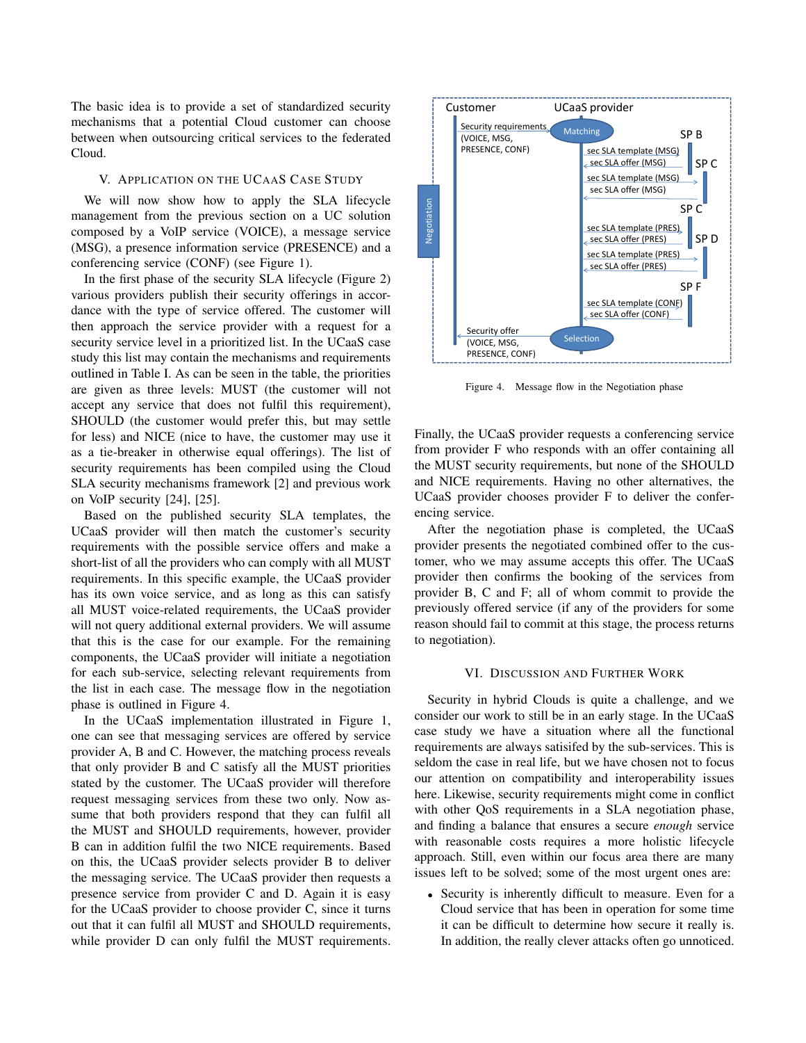The basic idea is to provide a set of standardized security mechanisms that a potential Cloud customer can choose between when outsourcing critical services to the federated Cloud.

# V. APPLICATION ON THE UCAAS CASE STUDY

We will now show how to apply the SLA lifecycle management from the previous section on a UC solution composed by a VoIP service (VOICE), a message service (MSG), a presence information service (PRESENCE) and a conferencing service (CONF) (see Figure 1).

In the first phase of the security SLA lifecycle (Figure 2) various providers publish their security offerings in accordance with the type of service offered. The customer will then approach the service provider with a request for a security service level in a prioritized list. In the UCaaS case study this list may contain the mechanisms and requirements outlined in Table I. As can be seen in the table, the priorities are given as three levels: MUST (the customer will not accept any service that does not fulfil this requirement), SHOULD (the customer would prefer this, but may settle for less) and NICE (nice to have, the customer may use it as a tie-breaker in otherwise equal offerings). The list of security requirements has been compiled using the Cloud SLA security mechanisms framework [2] and previous work on VoIP security [24], [25].

Based on the published security SLA templates, the UCaaS provider will then match the customer's security requirements with the possible service offers and make a short-list of all the providers who can comply with all MUST requirements. In this specific example, the UCaaS provider has its own voice service, and as long as this can satisfy all MUST voice-related requirements, the UCaaS provider will not query additional external providers. We will assume that this is the case for our example. For the remaining components, the UCaaS provider will initiate a negotiation for each sub-service, selecting relevant requirements from the list in each case. The message flow in the negotiation phase is outlined in Figure 4.

In the UCaaS implementation illustrated in Figure 1, one can see that messaging services are offered by service provider A, B and C. However, the matching process reveals that only provider B and C satisfy all the MUST priorities stated by the customer. The UCaaS provider will therefore request messaging services from these two only. Now assume that both providers respond that they can fulfil all the MUST and SHOULD requirements, however, provider B can in addition fulfil the two NICE requirements. Based on this, the UCaaS provider selects provider B to deliver the messaging service. The UCaaS provider then requests a presence service from provider C and D. Again it is easy for the UCaaS provider to choose provider C, since it turns out that it can fulfil all MUST and SHOULD requirements, while provider D can only fulfil the MUST requirements.



Figure 4. Message flow in the Negotiation phase

Finally, the UCaaS provider requests a conferencing service from provider F who responds with an offer containing all the MUST security requirements, but none of the SHOULD and NICE requirements. Having no other alternatives, the UCaaS provider chooses provider F to deliver the conferencing service.

After the negotiation phase is completed, the UCaaS provider presents the negotiated combined offer to the customer, who we may assume accepts this offer. The UCaaS provider then confirms the booking of the services from provider B, C and F; all of whom commit to provide the previously offered service (if any of the providers for some reason should fail to commit at this stage, the process returns to negotiation).

#### VI. DISCUSSION AND FURTHER WORK

Security in hybrid Clouds is quite a challenge, and we consider our work to still be in an early stage. In the UCaaS case study we have a situation where all the functional requirements are always satisifed by the sub-services. This is seldom the case in real life, but we have chosen not to focus our attention on compatibility and interoperability issues here. Likewise, security requirements might come in conflict with other OoS requirements in a SLA negotiation phase, and finding a balance that ensures a secure *enough* service with reasonable costs requires a more holistic lifecycle approach. Still, even within our focus area there are many issues left to be solved; some of the most urgent ones are:

• Security is inherently difficult to measure. Even for a Cloud service that has been in operation for some time it can be difficult to determine how secure it really is. In addition, the really clever attacks often go unnoticed.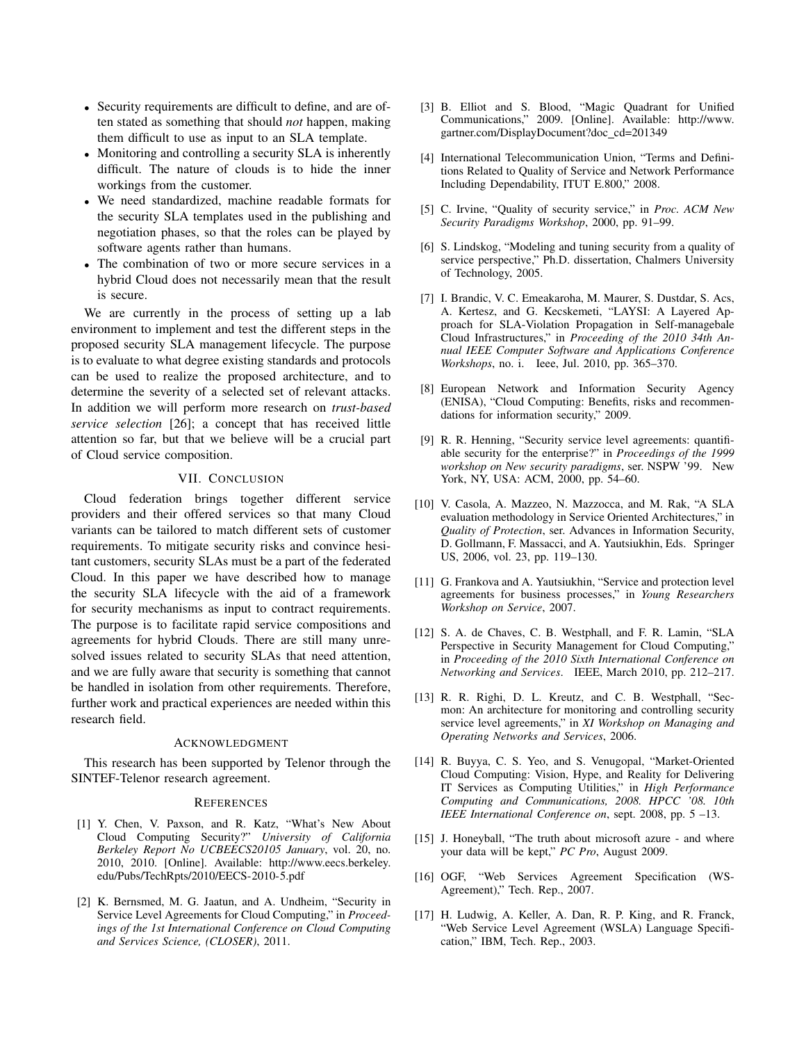- Security requirements are difficult to define, and are often stated as something that should *not* happen, making them difficult to use as input to an SLA template.
- Monitoring and controlling a security SLA is inherently difficult. The nature of clouds is to hide the inner workings from the customer.
- We need standardized, machine readable formats for the security SLA templates used in the publishing and negotiation phases, so that the roles can be played by software agents rather than humans.
- The combination of two or more secure services in a hybrid Cloud does not necessarily mean that the result is secure.

We are currently in the process of setting up a lab environment to implement and test the different steps in the proposed security SLA management lifecycle. The purpose is to evaluate to what degree existing standards and protocols can be used to realize the proposed architecture, and to determine the severity of a selected set of relevant attacks. In addition we will perform more research on *trust-based service selection* [26]; a concept that has received little attention so far, but that we believe will be a crucial part of Cloud service composition.

## VII. CONCLUSION

Cloud federation brings together different service providers and their offered services so that many Cloud variants can be tailored to match different sets of customer requirements. To mitigate security risks and convince hesitant customers, security SLAs must be a part of the federated Cloud. In this paper we have described how to manage the security SLA lifecycle with the aid of a framework for security mechanisms as input to contract requirements. The purpose is to facilitate rapid service compositions and agreements for hybrid Clouds. There are still many unresolved issues related to security SLAs that need attention, and we are fully aware that security is something that cannot be handled in isolation from other requirements. Therefore, further work and practical experiences are needed within this research field.

#### ACKNOWLEDGMENT

This research has been supported by Telenor through the SINTEF-Telenor research agreement.

#### **REFERENCES**

- [1] Y. Chen, V. Paxson, and R. Katz, "What's New About Cloud Computing Security?" *University of California Berkeley Report No UCBEECS20105 January*, vol. 20, no. 2010, 2010. [Online]. Available: http://www.eecs.berkeley. edu/Pubs/TechRpts/2010/EECS-2010-5.pdf
- [2] K. Bernsmed, M. G. Jaatun, and A. Undheim, "Security in Service Level Agreements for Cloud Computing," in *Proceedings of the 1st International Conference on Cloud Computing and Services Science, (CLOSER)*, 2011.
- [3] B. Elliot and S. Blood, "Magic Quadrant for Unified Communications," 2009. [Online]. Available: http://www. gartner.com/DisplayDocument?doc\_cd=201349
- [4] International Telecommunication Union, "Terms and Definitions Related to Quality of Service and Network Performance Including Dependability, ITUT E.800," 2008.
- [5] C. Irvine, "Quality of security service," in *Proc. ACM New Security Paradigms Workshop*, 2000, pp. 91–99.
- [6] S. Lindskog, "Modeling and tuning security from a quality of service perspective," Ph.D. dissertation, Chalmers University of Technology, 2005.
- [7] I. Brandic, V. C. Emeakaroha, M. Maurer, S. Dustdar, S. Acs, A. Kertesz, and G. Kecskemeti, "LAYSI: A Layered Approach for SLA-Violation Propagation in Self-managebale Cloud Infrastructures," in *Proceeding of the 2010 34th Annual IEEE Computer Software and Applications Conference Workshops*, no. i. Ieee, Jul. 2010, pp. 365–370.
- [8] European Network and Information Security Agency (ENISA), "Cloud Computing: Benefits, risks and recommendations for information security," 2009.
- [9] R. R. Henning, "Security service level agreements: quantifiable security for the enterprise?" in *Proceedings of the 1999 workshop on New security paradigms*, ser. NSPW '99. New York, NY, USA: ACM, 2000, pp. 54–60.
- [10] V. Casola, A. Mazzeo, N. Mazzocca, and M. Rak, "A SLA evaluation methodology in Service Oriented Architectures," in *Quality of Protection*, ser. Advances in Information Security, D. Gollmann, F. Massacci, and A. Yautsiukhin, Eds. Springer US, 2006, vol. 23, pp. 119–130.
- [11] G. Frankova and A. Yautsiukhin, "Service and protection level agreements for business processes," in *Young Researchers Workshop on Service*, 2007.
- [12] S. A. de Chaves, C. B. Westphall, and F. R. Lamin, "SLA Perspective in Security Management for Cloud Computing," in *Proceeding of the 2010 Sixth International Conference on Networking and Services*. IEEE, March 2010, pp. 212–217.
- [13] R. R. Righi, D. L. Kreutz, and C. B. Westphall, "Secmon: An architecture for monitoring and controlling security service level agreements," in *XI Workshop on Managing and Operating Networks and Services*, 2006.
- [14] R. Buyya, C. S. Yeo, and S. Venugopal, "Market-Oriented Cloud Computing: Vision, Hype, and Reality for Delivering IT Services as Computing Utilities," in *High Performance Computing and Communications, 2008. HPCC '08. 10th IEEE International Conference on*, sept. 2008, pp. 5 –13.
- [15] J. Honeyball, "The truth about microsoft azure and where your data will be kept," *PC Pro*, August 2009.
- [16] OGF, "Web Services Agreement Specification (WS-Agreement)," Tech. Rep., 2007.
- [17] H. Ludwig, A. Keller, A. Dan, R. P. King, and R. Franck, "Web Service Level Agreement (WSLA) Language Specification," IBM, Tech. Rep., 2003.